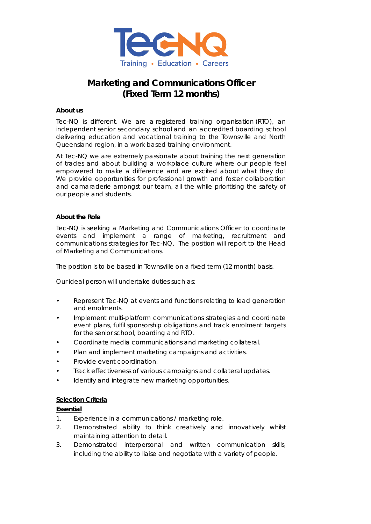

# **Marketing and Communications Officer (Fixed Term 12 months)**

### **About us**

Tec-NQ is different. We are a registered training organisation (RTO), an independent senior secondary school and an accredited boarding school delivering education and vocational training to the Townsville and North Queensland region, in a work-based training environment.

At Tec-NQ we are extremely passionate about training the next generation of trades and about building a workplace culture where our people feel empowered to make a difference and are excited about what they do! We provide opportunities for professional growth and foster collaboration and camaraderie amongst our team, all the while prioritising the safety of our people and students.

# **About the Role**

Tec-NQ is seeking a Marketing and Communications Officer to coordinate events and implement a range of marketing, recruitment and communications strategies for Tec-NQ. The position will report to the Head of Marketing and Communications.

The position is to be based in Townsville on a fixed term (12 month) basis.

Our ideal person will undertake duties such as:

- Represent Tec-NQ at events and functions relating to lead generation and enrolments.
- Implement multi-platform communications strategies and coordinate event plans, fulfil sponsorship obligations and track enrolment targets for the senior school, boarding and RTO.
- Coordinate media communications and marketing collateral.
- Plan and implement marketing campaigns and activities.
- Provide event coordination.
- Track effectiveness of various campaigns and collateral updates.
- Identify and integrate new marketing opportunities.

### **Selection Criteria**

### **Essential**

- 1. Experience in a communications / marketing role.
- 2. Demonstrated ability to think creatively and innovatively whilst maintaining attention to detail.
- 3. Demonstrated interpersonal and written communication skills, including the ability to liaise and negotiate with a variety of people.